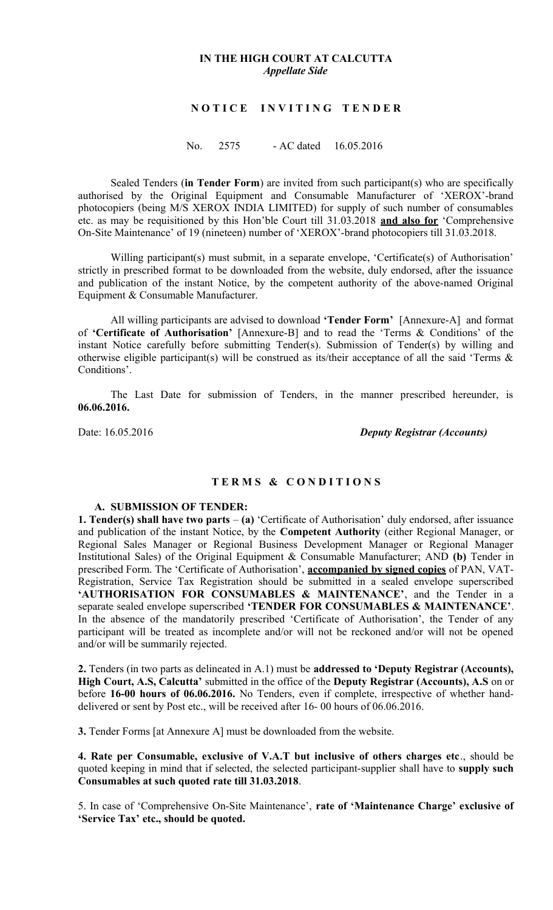### **IN THE HIGH COURT AT CALCUTTA** *Appellate Side*

### **N O T I C E I N V I T I N G T E N D E R**

No. 2575 - AC dated 16.05.2016

Sealed Tenders (**in Tender Form**) are invited from such participant(s) who are specifically authorised by the Original Equipment and Consumable Manufacturer of 'XEROX'-brand photocopiers (being M/S XEROX INDIA LIMITED) for supply of such number of consumables etc. as may be requisitioned by this Hon'ble Court till 31.03.2018 **and also for** 'Comprehensive On-Site Maintenance' of 19 (nineteen) number of 'XEROX'-brand photocopiers till 31.03.2018.

Willing participant(s) must submit, in a separate envelope, 'Certificate(s) of Authorisation' strictly in prescribed format to be downloaded from the website, duly endorsed, after the issuance and publication of the instant Notice, by the competent authority of the above-named Original Equipment & Consumable Manufacturer.

All willing participants are advised to download **'Tender Form'** [Annexure-A] and format of **'Certificate of Authorisation'** [Annexure-B] and to read the 'Terms & Conditions' of the instant Notice carefully before submitting Tender(s). Submission of Tender(s) by willing and otherwise eligible participant(s) will be construed as its/their acceptance of all the said 'Terms & Conditions'.

The Last Date for submission of Tenders, in the manner prescribed hereunder, is **06.06.2016.**

Date: 16.05.2016 *Deputy Registrar (Accounts)*

### **T E R M S & C O N D I T I O N S**

#### **A. SUBMISSION OF TENDER:**

**1. Tender(s) shall have two parts** – **(a)** 'Certificate of Authorisation' duly endorsed, after issuance and publication of the instant Notice, by the **Competent Authority** (either Regional Manager, or Regional Sales Manager or Regional Business Development Manager or Regional Manager Institutional Sales) of the Original Equipment & Consumable Manufacturer; AND **(b)** Tender in prescribed Form. The 'Certificate of Authorisation', **accompanied by signed copies** of PAN, VAT-Registration, Service Tax Registration should be submitted in a sealed envelope superscribed **'AUTHORISATION FOR CONSUMABLES & MAINTENANCE'**, and the Tender in a separate sealed envelope superscribed **'TENDER FOR CONSUMABLES & MAINTENANCE'**. In the absence of the mandatorily prescribed 'Certificate of Authorisation', the Tender of any participant will be treated as incomplete and/or will not be reckoned and/or will not be opened and/or will be summarily rejected.

**2.** Tenders (in two parts as delineated in A.1) must be **addressed to 'Deputy Registrar (Accounts), High Court, A.S, Calcutta'** submitted in the office of the **Deputy Registrar (Accounts), A.S** on or before **16-00 hours of 06.06.2016.** No Tenders, even if complete, irrespective of whether handdelivered or sent by Post etc., will be received after 16- 00 hours of 06.06.2016.

**3.** Tender Forms [at Annexure A] must be downloaded from the website.

**4. Rate per Consumable, exclusive of V.A.T but inclusive of others charges etc**., should be quoted keeping in mind that if selected, the selected participant-supplier shall have to **supply such Consumables at such quoted rate till 31.03.2018**.

5. In case of 'Comprehensive On-Site Maintenance', **rate of 'Maintenance Charge' exclusive of 'Service Tax' etc., should be quoted.**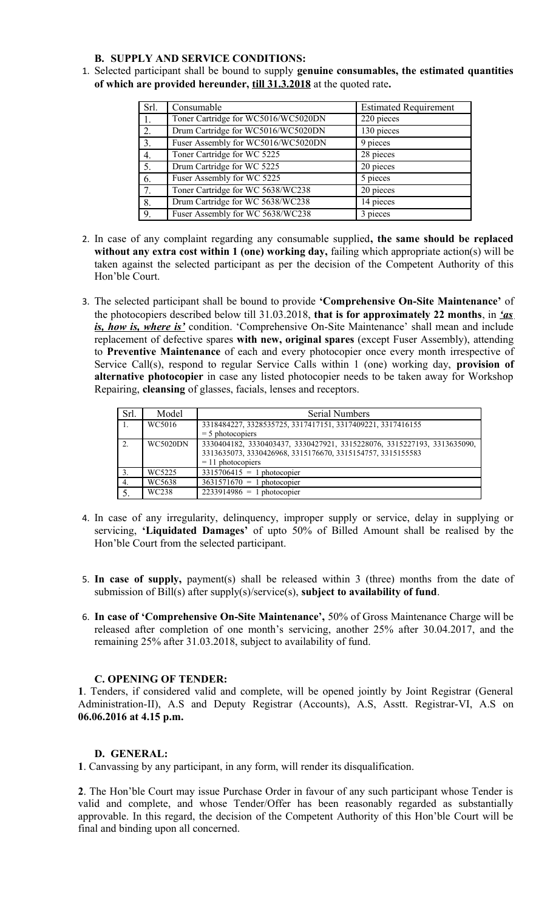#### **B. SUPPLY AND SERVICE CONDITIONS:**

1. Selected participant shall be bound to supply **genuine consumables, the estimated quantities of which are provided hereunder, till 31.3.2018** at the quoted rate**.** 

| Srl. | Consumable                          | <b>Estimated Requirement</b> |
|------|-------------------------------------|------------------------------|
| 1.   | Toner Cartridge for WC5016/WC5020DN | 220 pieces                   |
| 2.   | Drum Cartridge for WC5016/WC5020DN  | 130 pieces                   |
| 3.   | Fuser Assembly for WC5016/WC5020DN  | 9 pieces                     |
| 4.   | Toner Cartridge for WC 5225         | 28 pieces                    |
| 5.   | Drum Cartridge for WC 5225          | 20 pieces                    |
| 6.   | Fuser Assembly for WC 5225          | 5 pieces                     |
| 7.   | Toner Cartridge for WC 5638/WC238   | 20 pieces                    |
| 8.   | Drum Cartridge for WC 5638/WC238    | 14 pieces                    |
| 9.   | Fuser Assembly for WC 5638/WC238    | 3 pieces                     |

- 2. In case of any complaint regarding any consumable supplied**, the same should be replaced without any extra cost within 1 (one) working day,** failing which appropriate action(s) will be taken against the selected participant as per the decision of the Competent Authority of this Hon'ble Court.
- 3. The selected participant shall be bound to provide **'Comprehensive On-Site Maintenance'** of the photocopiers described below till 31.03.2018, **that is for approximately 22 months**, in *'as is, how is, where is'* condition. 'Comprehensive On-Site Maintenance' shall mean and include replacement of defective spares **with new, original spares** (except Fuser Assembly), attending to **Preventive Maintenance** of each and every photocopier once every month irrespective of Service Call(s), respond to regular Service Calls within 1 (one) working day, **provision of alternative photocopier** in case any listed photocopier needs to be taken away for Workshop Repairing, **cleansing** of glasses, facials, lenses and receptors.

| Srl.             | Model           | <b>Serial Numbers</b>                                                   |
|------------------|-----------------|-------------------------------------------------------------------------|
| $\vert$ 1.       | WC5016          | 3318484227, 3328535725, 3317417151, 3317409221, 3317416155              |
|                  |                 | $=$ 5 photocopiers                                                      |
| $\overline{2}$ . | <b>WC5020DN</b> | 3330404182, 3330403437, 3330427921, 3315228076, 3315227193, 3313635090, |
|                  |                 | 3313635073, 3330426968, 3315176670, 3315154757, 3315155583              |
|                  |                 | $= 11$ photocopiers                                                     |
| 3.               | WC5225          | $3315706415 = 1$ photocopier                                            |
| $\overline{4}$ . | WC5638          | $3631571670 = 1$ photocopier                                            |
|                  | WC238           | $2233914986 = 1$ photocopier                                            |

- 4. In case of any irregularity, delinquency, improper supply or service, delay in supplying or servicing, **'Liquidated Damages'** of upto 50% of Billed Amount shall be realised by the Hon'ble Court from the selected participant.
- 5. **In case of supply,** payment(s) shall be released within 3 (three) months from the date of submission of Bill(s) after supply(s)/service(s), **subject to availability of fund**.
- 6. **In case of 'Comprehensive On-Site Maintenance',** 50% of Gross Maintenance Charge will be released after completion of one month's servicing, another 25% after 30.04.2017, and the remaining 25% after 31.03.2018, subject to availability of fund.

### **C. OPENING OF TENDER:**

**1**. Tenders, if considered valid and complete, will be opened jointly by Joint Registrar (General Administration-II), A.S and Deputy Registrar (Accounts), A.S, Asstt. Registrar-VI, A.S on **06.06.2016 at 4.15 p.m.**

## **D. GENERAL:**

**1**. Canvassing by any participant, in any form, will render its disqualification.

**2**. The Hon'ble Court may issue Purchase Order in favour of any such participant whose Tender is valid and complete, and whose Tender/Offer has been reasonably regarded as substantially approvable. In this regard, the decision of the Competent Authority of this Hon'ble Court will be final and binding upon all concerned.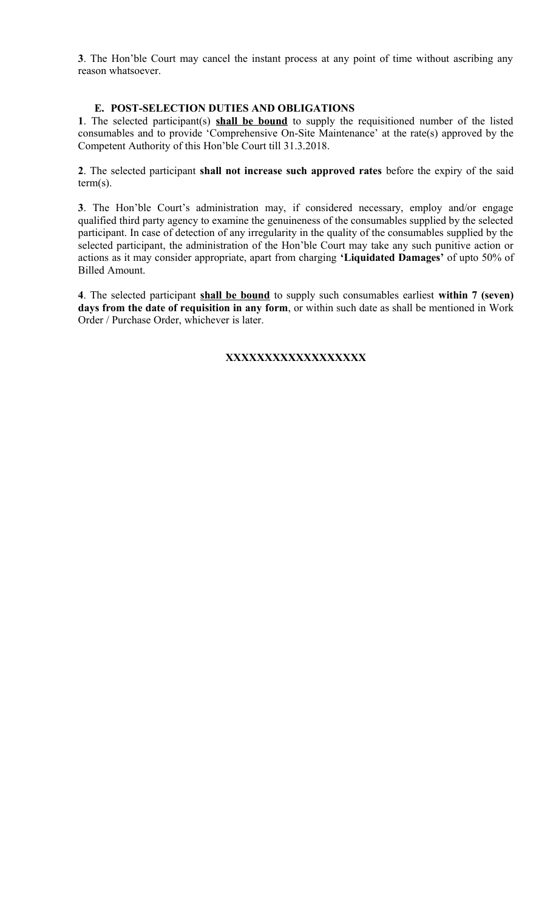**3**. The Hon'ble Court may cancel the instant process at any point of time without ascribing any reason whatsoever.

### **E. POST-SELECTION DUTIES AND OBLIGATIONS**

**1**. The selected participant(s) **shall be bound** to supply the requisitioned number of the listed consumables and to provide 'Comprehensive On-Site Maintenance' at the rate(s) approved by the Competent Authority of this Hon'ble Court till 31.3.2018.

**2**. The selected participant **shall not increase such approved rates** before the expiry of the said term(s).

**3**. The Hon'ble Court's administration may, if considered necessary, employ and/or engage qualified third party agency to examine the genuineness of the consumables supplied by the selected participant. In case of detection of any irregularity in the quality of the consumables supplied by the selected participant, the administration of the Hon'ble Court may take any such punitive action or actions as it may consider appropriate, apart from charging **'Liquidated Damages'** of upto 50% of Billed Amount.

**4**. The selected participant **shall be bound** to supply such consumables earliest **within 7 (seven) days from the date of requisition in any form**, or within such date as shall be mentioned in Work Order / Purchase Order, whichever is later.

## **XXXXXXXXXXXXXXXXXX**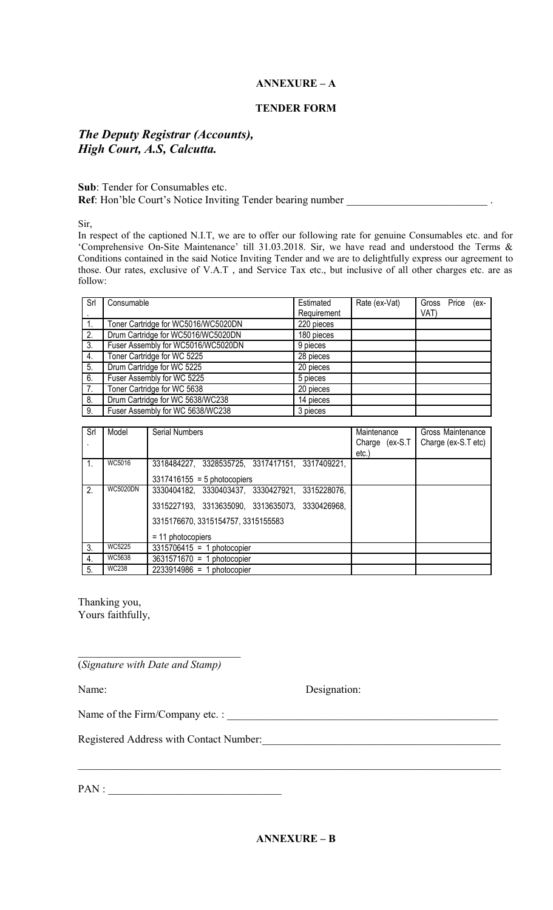## **ANNEXURE – A**

### **TENDER FORM**

## *The Deputy Registrar (Accounts), High Court, A.S, Calcutta.*

### **Sub**: Tender for Consumables etc. Ref: Hon'ble Court's Notice Inviting Tender bearing number \_\_\_\_\_\_\_\_\_\_\_\_\_\_\_\_\_\_\_\_\_

Sir,

In respect of the captioned N.I.T, we are to offer our following rate for genuine Consumables etc. and for 'Comprehensive On-Site Maintenance' till 31.03.2018. Sir, we have read and understood the Terms & Conditions contained in the said Notice Inviting Tender and we are to delightfully express our agreement to those. Our rates, exclusive of V.A.T , and Service Tax etc., but inclusive of all other charges etc. are as follow:

| Srl | Consumable                          | Estimated   | Rate (ex-Vat) |      | Gross Price (ex- |  |
|-----|-------------------------------------|-------------|---------------|------|------------------|--|
|     |                                     | Requirement |               | VAT) |                  |  |
|     | Toner Cartridge for WC5016/WC5020DN | 220 pieces  |               |      |                  |  |
| 2.  | Drum Cartridge for WC5016/WC5020DN  | 180 pieces  |               |      |                  |  |
| 3.  | Fuser Assembly for WC5016/WC5020DN  | 9 pieces    |               |      |                  |  |
| 4.  | Toner Cartridge for WC 5225         | 28 pieces   |               |      |                  |  |
| 5.  | Drum Cartridge for WC 5225          | 20 pieces   |               |      |                  |  |
| 6.  | Fuser Assembly for WC 5225          | 5 pieces    |               |      |                  |  |
| 7.  | Toner Cartridge for WC 5638         | 20 pieces   |               |      |                  |  |
| 8.  | Drum Cartridge for WC 5638/WC238    | 14 pieces   |               |      |                  |  |
| 9.  | Fuser Assembly for WC 5638/WC238    | 3 pieces    |               |      |                  |  |

| Srl            | Model           | <b>Serial Numbers</b>                           | Maintenance    | Gross Maintenance   |
|----------------|-----------------|-------------------------------------------------|----------------|---------------------|
|                |                 |                                                 | Charge (ex-S.T | Charge (ex-S.T etc) |
|                |                 |                                                 | $etc.$ )       |                     |
| $\mathbf{1}$ . | WC5016          | 3318484227, 3328535725, 3317417151, 3317409221, |                |                     |
|                |                 | $3317416155 = 5$ photocopiers                   |                |                     |
| 2 <sub>1</sub> | <b>WC5020DN</b> | 3330404182, 3330403437, 3330427921, 3315228076, |                |                     |
|                |                 | 3315227193, 3313635090, 3313635073, 3330426968, |                |                     |
|                |                 | 3315176670, 3315154757, 3315155583              |                |                     |
|                |                 | $= 11$ photocopiers                             |                |                     |
| 3.             | WC5225          | $3315706415 = 1$ photocopier                    |                |                     |
| 4.             | WC5638          | $3631571670 = 1$ photocopier                    |                |                     |
| 5.             | <b>WC238</b>    | $2233914986 = 1$ photocopier                    |                |                     |

Thanking you, Yours faithfully,

(*Signature with Date and Stamp)*

 $\mathcal{L}_\text{max}$  , and the set of the set of the set of the set of the set of the set of the set of the set of the set of the set of the set of the set of the set of the set of the set of the set of the set of the set of the

Name: Designation:

Name of the Firm/Company etc. : \_\_\_\_\_\_\_\_\_\_\_\_\_\_\_\_\_\_\_\_\_\_\_\_\_\_\_\_\_\_\_\_\_\_\_\_\_\_\_\_\_\_\_\_\_\_\_\_\_\_

Registered Address with Contact Number:

PAN :

 $\_$  , and the contribution of the contribution of the contribution of the contribution of  $\mathcal{L}_\text{max}$